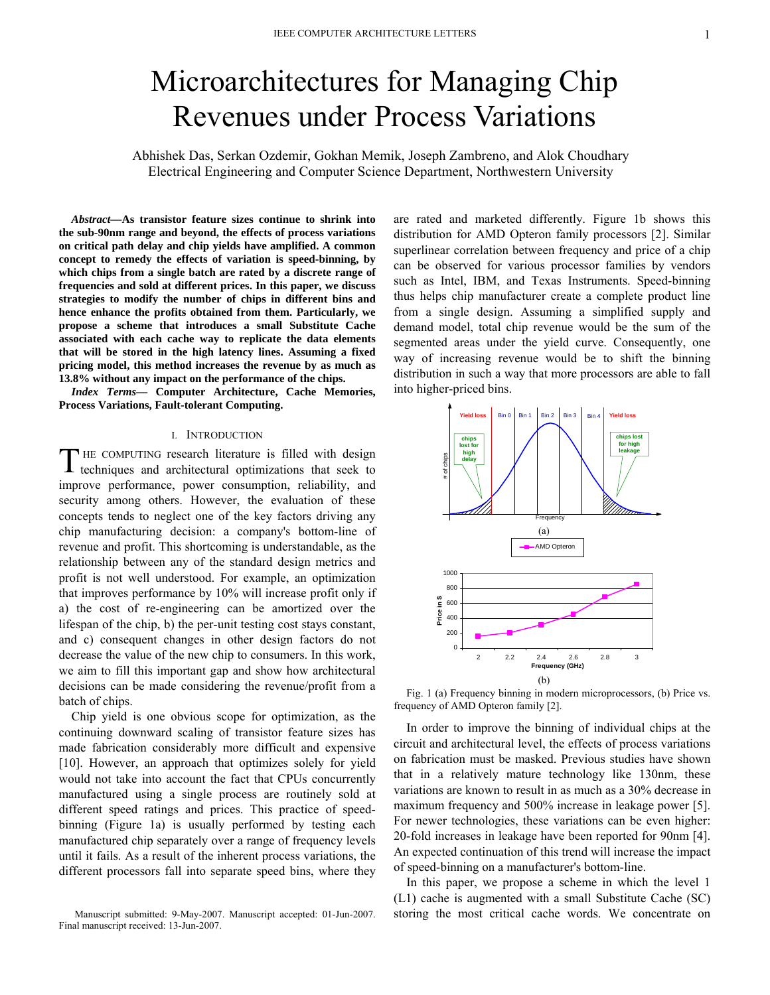# Microarchitectures for Managing Chip Revenues under Process Variations

Abhishek Das, Serkan Ozdemir, Gokhan Memik, Joseph Zambreno, and Alok Choudhary Electrical Engineering and Computer Science Department, Northwestern University

*Abstract***—As transistor feature sizes continue to shrink into the sub-90nm range and beyond, the effects of process variations on critical path delay and chip yields have amplified. A common concept to remedy the effects of variation is speed-binning, by which chips from a single batch are rated by a discrete range of frequencies and sold at different prices. In this paper, we discuss strategies to modify the number of chips in different bins and hence enhance the profits obtained from them. Particularly, we propose a scheme that introduces a small Substitute Cache associated with each cache way to replicate the data elements that will be stored in the high latency lines. Assuming a fixed pricing model, this method increases the revenue by as much as 13.8% without any impact on the performance of the chips.** 

*Index Terms***— Computer Architecture, Cache Memories, Process Variations, Fault-tolerant Computing.** 

#### I. INTRODUCTION

HE COMPUTING research literature is filled with design THE COMPUTING research literature is filled with design techniques and architectural optimizations that seek to improve performance, power consumption, reliability, and security among others. However, the evaluation of these concepts tends to neglect one of the key factors driving any chip manufacturing decision: a company's bottom-line of revenue and profit. This shortcoming is understandable, as the relationship between any of the standard design metrics and profit is not well understood. For example, an optimization that improves performance by 10% will increase profit only if a) the cost of re-engineering can be amortized over the lifespan of the chip, b) the per-unit testing cost stays constant, and c) consequent changes in other design factors do not decrease the value of the new chip to consumers. In this work, we aim to fill this important gap and show how architectural decisions can be made considering the revenue/profit from a batch of chips.

Chip yield is one obvious scope for optimization, as the continuing downward scaling of transistor feature sizes has made fabrication considerably more difficult and expensive [10]. However, an approach that optimizes solely for yield would not take into account the fact that CPUs concurrently manufactured using a single process are routinely sold at different speed ratings and prices. This practice of speedbinning (Figure 1a) is usually performed by testing each manufactured chip separately over a range of frequency levels until it fails. As a result of the inherent process variations, the different processors fall into separate speed bins, where they

are rated and marketed differently. Figure 1b shows this distribution for AMD Opteron family processors [2]. Similar superlinear correlation between frequency and price of a chip can be observed for various processor families by vendors such as Intel, IBM, and Texas Instruments. Speed-binning thus helps chip manufacturer create a complete product line from a single design. Assuming a simplified supply and demand model, total chip revenue would be the sum of the segmented areas under the yield curve. Consequently, one way of increasing revenue would be to shift the binning distribution in such a way that more processors are able to fall into higher-priced bins.



Fig. 1 (a) Frequency binning in modern microprocessors, (b) Price vs. frequency of AMD Opteron family [2].

In order to improve the binning of individual chips at the circuit and architectural level, the effects of process variations on fabrication must be masked. Previous studies have shown that in a relatively mature technology like 130nm, these variations are known to result in as much as a 30% decrease in maximum frequency and 500% increase in leakage power [5]. For newer technologies, these variations can be even higher: 20-fold increases in leakage have been reported for 90nm [4]. An expected continuation of this trend will increase the impact of speed-binning on a manufacturer's bottom-line.

In this paper, we propose a scheme in which the level 1 (L1) cache is augmented with a small Substitute Cache (SC) storing the most critical cache words. We concentrate on

<sup>1</sup> Manuscript submitted: 9-May-2007. Manuscript accepted: 01-Jun-2007. Final manuscript received: 13-Jun-2007.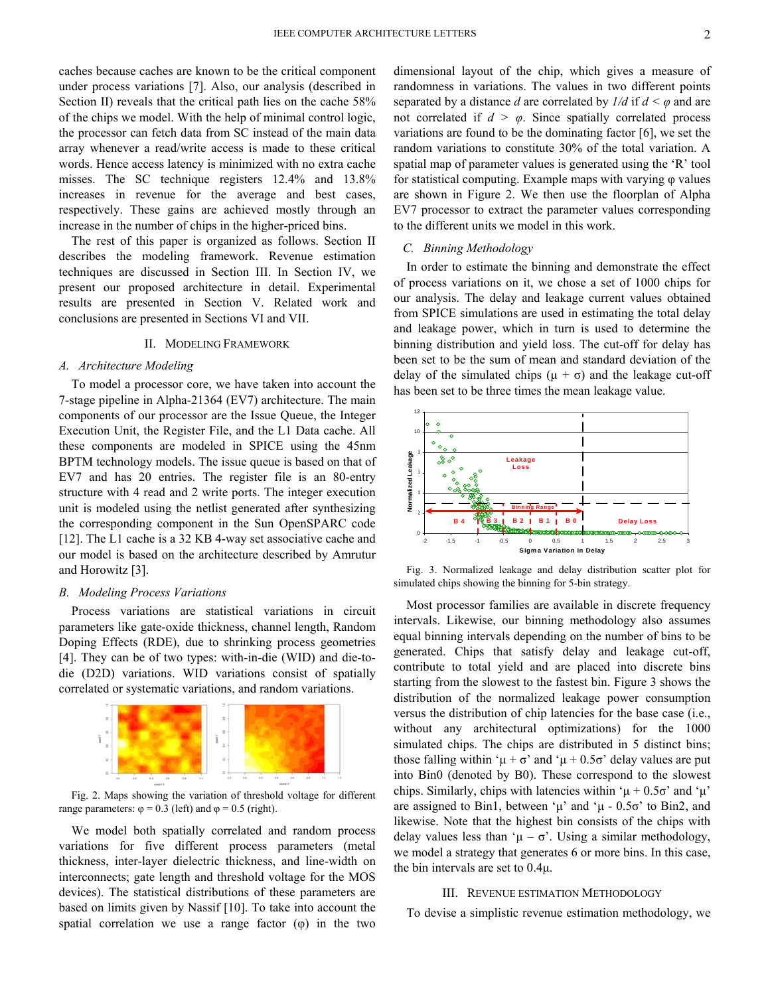caches because caches are known to be the critical component under process variations [7]. Also, our analysis (described in Section II) reveals that the critical path lies on the cache 58% of the chips we model. With the help of minimal control logic, the processor can fetch data from SC instead of the main data array whenever a read/write access is made to these critical words. Hence access latency is minimized with no extra cache misses. The SC technique registers 12.4% and 13.8% increases in revenue for the average and best cases, respectively. These gains are achieved mostly through an increase in the number of chips in the higher-priced bins.

The rest of this paper is organized as follows. Section II describes the modeling framework. Revenue estimation techniques are discussed in Section III. In Section IV, we present our proposed architecture in detail. Experimental results are presented in Section V. Related work and conclusions are presented in Sections VI and VII.

# II. MODELING FRAMEWORK

## *A. Architecture Modeling*

To model a processor core, we have taken into account the 7-stage pipeline in Alpha-21364 (EV7) architecture. The main components of our processor are the Issue Queue, the Integer Execution Unit, the Register File, and the L1 Data cache. All these components are modeled in SPICE using the 45nm BPTM technology models. The issue queue is based on that of EV7 and has 20 entries. The register file is an 80-entry structure with 4 read and 2 write ports. The integer execution unit is modeled using the netlist generated after synthesizing the corresponding component in the Sun OpenSPARC code [12]. The L1 cache is a 32 KB 4-way set associative cache and our model is based on the architecture described by Amrutur and Horowitz [3].

# *B. Modeling Process Variations*

Process variations are statistical variations in circuit parameters like gate-oxide thickness, channel length, Random Doping Effects (RDE), due to shrinking process geometries [4]. They can be of two types: with-in-die (WID) and die-todie (D2D) variations. WID variations consist of spatially correlated or systematic variations, and random variations.



Fig. 2. Maps showing the variation of threshold voltage for different range parameters:  $φ = 0.3$  (left) and  $φ = 0.5$  (right).

We model both spatially correlated and random process variations for five different process parameters (metal thickness, inter-layer dielectric thickness, and line-width on interconnects; gate length and threshold voltage for the MOS devices). The statistical distributions of these parameters are based on limits given by Nassif [10]. To take into account the spatial correlation we use a range factor  $(\varphi)$  in the two dimensional layout of the chip, which gives a measure of randomness in variations. The values in two different points separated by a distance *d* are correlated by  $1/d$  if  $d < \varphi$  and are not correlated if  $d > \varphi$ . Since spatially correlated process variations are found to be the dominating factor [6], we set the random variations to constitute 30% of the total variation. A spatial map of parameter values is generated using the 'R' tool for statistical computing. Example maps with varying φ values are shown in Figure 2. We then use the floorplan of Alpha EV7 processor to extract the parameter values corresponding to the different units we model in this work.

## *C. Binning Methodology*

In order to estimate the binning and demonstrate the effect of process variations on it, we chose a set of 1000 chips for our analysis. The delay and leakage current values obtained from SPICE simulations are used in estimating the total delay and leakage power, which in turn is used to determine the binning distribution and yield loss. The cut-off for delay has been set to be the sum of mean and standard deviation of the delay of the simulated chips  $(\mu + \sigma)$  and the leakage cut-off has been set to be three times the mean leakage value.



Fig. 3. Normalized leakage and delay distribution scatter plot for simulated chips showing the binning for 5-bin strategy.

Most processor families are available in discrete frequency intervals. Likewise, our binning methodology also assumes equal binning intervals depending on the number of bins to be generated. Chips that satisfy delay and leakage cut-off, contribute to total yield and are placed into discrete bins starting from the slowest to the fastest bin. Figure 3 shows the distribution of the normalized leakage power consumption versus the distribution of chip latencies for the base case (i.e., without any architectural optimizations) for the 1000 simulated chips. The chips are distributed in 5 distinct bins; those falling within ' $\mu + \sigma$ ' and ' $\mu + 0.5\sigma$ ' delay values are put into Bin0 (denoted by B0). These correspond to the slowest chips. Similarly, chips with latencies within ' $\mu$  + 0.5 $\sigma$ ' and ' $\mu$ ' are assigned to Bin1, between ' $\mu$ ' and ' $\mu$  - 0.5 $\sigma$ ' to Bin2, and likewise. Note that the highest bin consists of the chips with delay values less than ' $\mu - \sigma$ '. Using a similar methodology, we model a strategy that generates 6 or more bins. In this case, the bin intervals are set to  $0.4\mu$ .

#### III. REVENUE ESTIMATION METHODOLOGY

To devise a simplistic revenue estimation methodology, we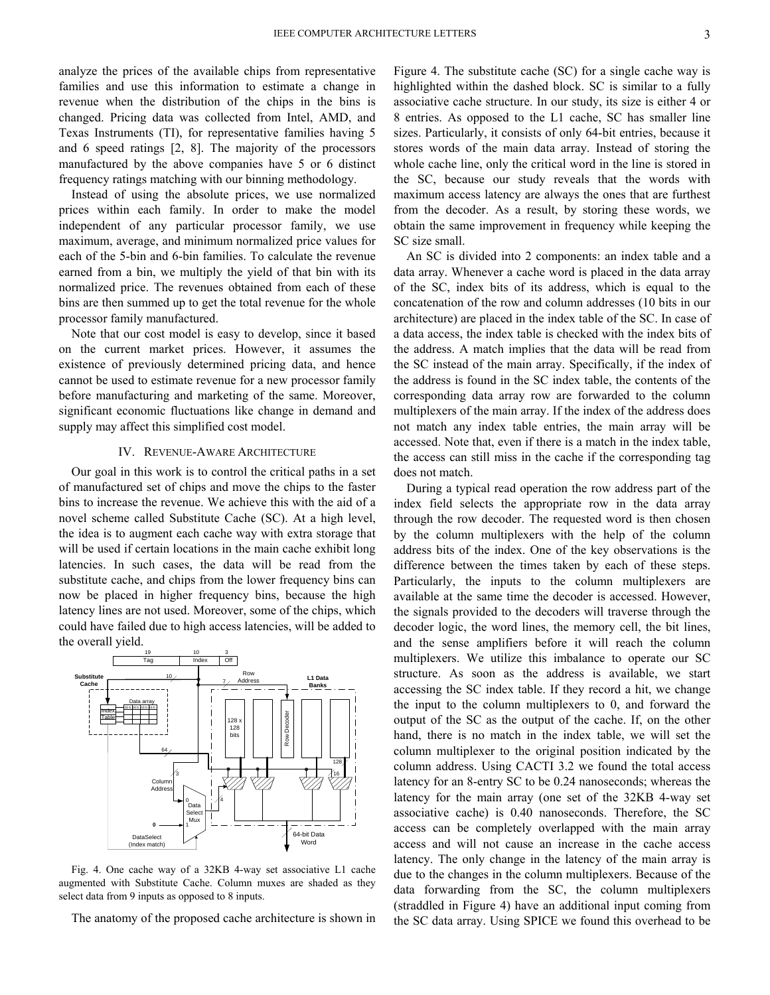analyze the prices of the available chips from representative families and use this information to estimate a change in revenue when the distribution of the chips in the bins is changed. Pricing data was collected from Intel, AMD, and Texas Instruments (TI), for representative families having 5 and 6 speed ratings [2, 8]. The majority of the processors manufactured by the above companies have 5 or 6 distinct frequency ratings matching with our binning methodology.

Instead of using the absolute prices, we use normalized prices within each family. In order to make the model independent of any particular processor family, we use maximum, average, and minimum normalized price values for each of the 5-bin and 6-bin families. To calculate the revenue earned from a bin, we multiply the yield of that bin with its normalized price. The revenues obtained from each of these bins are then summed up to get the total revenue for the whole processor family manufactured.

Note that our cost model is easy to develop, since it based on the current market prices. However, it assumes the existence of previously determined pricing data, and hence cannot be used to estimate revenue for a new processor family before manufacturing and marketing of the same. Moreover, significant economic fluctuations like change in demand and supply may affect this simplified cost model.

## IV. REVENUE-AWARE ARCHITECTURE

Our goal in this work is to control the critical paths in a set of manufactured set of chips and move the chips to the faster bins to increase the revenue. We achieve this with the aid of a novel scheme called Substitute Cache (SC). At a high level, the idea is to augment each cache way with extra storage that will be used if certain locations in the main cache exhibit long latencies. In such cases, the data will be read from the substitute cache, and chips from the lower frequency bins can now be placed in higher frequency bins, because the high latency lines are not used. Moreover, some of the chips, which could have failed due to high access latencies, will be added to the overall yield.



Fig. 4. One cache way of a 32KB 4-way set associative L1 cache augmented with Substitute Cache. Column muxes are shaded as they select data from 9 inputs as opposed to 8 inputs.

The anatomy of the proposed cache architecture is shown in

Figure 4. The substitute cache (SC) for a single cache way is highlighted within the dashed block. SC is similar to a fully associative cache structure. In our study, its size is either 4 or 8 entries. As opposed to the L1 cache, SC has smaller line sizes. Particularly, it consists of only 64-bit entries, because it stores words of the main data array. Instead of storing the whole cache line, only the critical word in the line is stored in the SC, because our study reveals that the words with maximum access latency are always the ones that are furthest from the decoder. As a result, by storing these words, we obtain the same improvement in frequency while keeping the SC size small.

An SC is divided into 2 components: an index table and a data array. Whenever a cache word is placed in the data array of the SC, index bits of its address, which is equal to the concatenation of the row and column addresses (10 bits in our architecture) are placed in the index table of the SC. In case of a data access, the index table is checked with the index bits of the address. A match implies that the data will be read from the SC instead of the main array. Specifically, if the index of the address is found in the SC index table, the contents of the corresponding data array row are forwarded to the column multiplexers of the main array. If the index of the address does not match any index table entries, the main array will be accessed. Note that, even if there is a match in the index table, the access can still miss in the cache if the corresponding tag does not match.

During a typical read operation the row address part of the index field selects the appropriate row in the data array through the row decoder. The requested word is then chosen by the column multiplexers with the help of the column address bits of the index. One of the key observations is the difference between the times taken by each of these steps. Particularly, the inputs to the column multiplexers are available at the same time the decoder is accessed. However, the signals provided to the decoders will traverse through the decoder logic, the word lines, the memory cell, the bit lines, and the sense amplifiers before it will reach the column multiplexers. We utilize this imbalance to operate our SC structure. As soon as the address is available, we start accessing the SC index table. If they record a hit, we change the input to the column multiplexers to 0, and forward the output of the SC as the output of the cache. If, on the other hand, there is no match in the index table, we will set the column multiplexer to the original position indicated by the column address. Using CACTI 3.2 we found the total access latency for an 8-entry SC to be 0.24 nanoseconds; whereas the latency for the main array (one set of the 32KB 4-way set associative cache) is 0.40 nanoseconds. Therefore, the SC access can be completely overlapped with the main array access and will not cause an increase in the cache access latency. The only change in the latency of the main array is due to the changes in the column multiplexers. Because of the data forwarding from the SC, the column multiplexers (straddled in Figure 4) have an additional input coming from the SC data array. Using SPICE we found this overhead to be